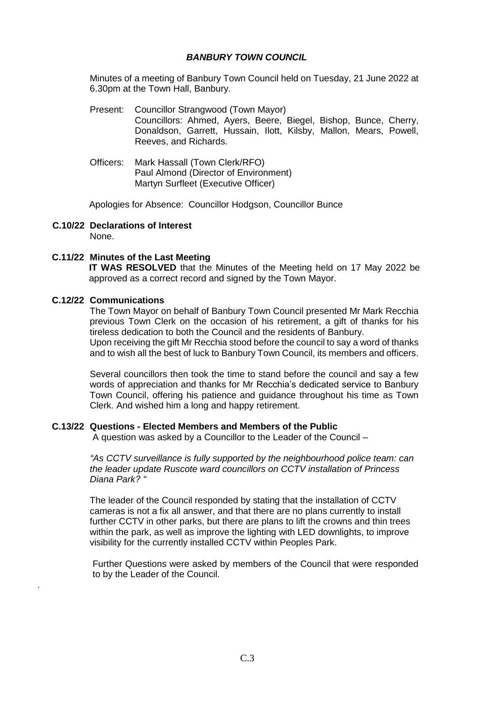## *BANBURY TOWN COUNCIL*

Minutes of a meeting of Banbury Town Council held on Tuesday, 21 June 2022 at 6.30pm at the Town Hall, Banbury.

- Present: Councillor Strangwood (Town Mayor) Councillors: Ahmed, Ayers, Beere, Biegel, Bishop, Bunce, Cherry, Donaldson, Garrett, Hussain, Ilott, Kilsby, Mallon, Mears, Powell, Reeves, and Richards.
- Officers: Mark Hassall (Town Clerk/RFO) Paul Almond (Director of Environment) Martyn Surfleet (Executive Officer)

Apologies for Absence: Councillor Hodgson, Councillor Bunce

#### **C.10/22 Declarations of Interest** None.

## **C.11/22 Minutes of the Last Meeting**

**IT WAS RESOLVED** that the Minutes of the Meeting held on 17 May 2022 be approved as a correct record and signed by the Town Mayor.

### **C.12/22 Communications**

.

The Town Mayor on behalf of Banbury Town Council presented Mr Mark Recchia previous Town Clerk on the occasion of his retirement, a gift of thanks for his tireless dedication to both the Council and the residents of Banbury. Upon receiving the gift Mr Recchia stood before the council to say a word of thanks and to wish all the best of luck to Banbury Town Council, its members and officers.

Several councillors then took the time to stand before the council and say a few words of appreciation and thanks for Mr Recchia's dedicated service to Banbury Town Council, offering his patience and guidance throughout his time as Town Clerk. And wished him a long and happy retirement.

### **C.13/22 Questions - Elected Members and Members of the Public**

A question was asked by a Councillor to the Leader of the Council –

*"As CCTV surveillance is fully supported by the neighbourhood police team: can the leader update Ruscote ward councillors on CCTV installation of Princess Diana Park? "*

The leader of the Council responded by stating that the installation of CCTV cameras is not a fix all answer, and that there are no plans currently to install further CCTV in other parks, but there are plans to lift the crowns and thin trees within the park, as well as improve the lighting with LED downlights, to improve visibility for the currently installed CCTV within Peoples Park.

Further Questions were asked by members of the Council that were responded to by the Leader of the Council.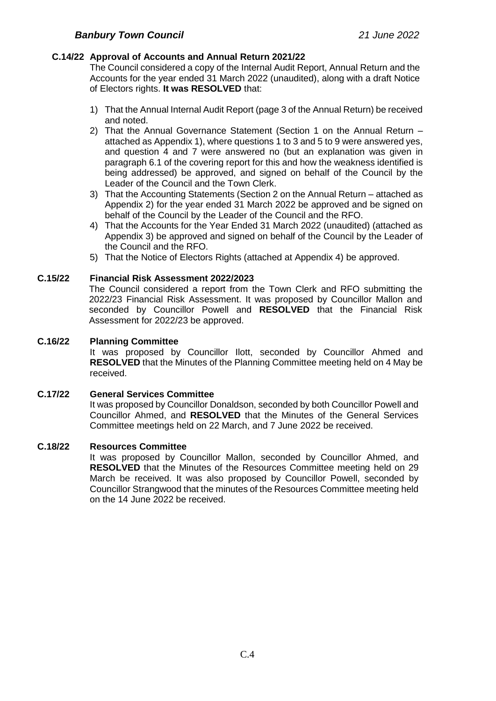## **C.14/22 Approval of Accounts and Annual Return 2021/22**

The Council considered a copy of the Internal Audit Report, Annual Return and the Accounts for the year ended 31 March 2022 (unaudited), along with a draft Notice of Electors rights. **It was RESOLVED** that:

- 1) That the Annual Internal Audit Report (page 3 of the Annual Return) be received and noted.
- 2) That the Annual Governance Statement (Section 1 on the Annual Return attached as Appendix 1), where questions 1 to 3 and 5 to 9 were answered yes, and question 4 and 7 were answered no (but an explanation was given in paragraph 6.1 of the covering report for this and how the weakness identified is being addressed) be approved, and signed on behalf of the Council by the Leader of the Council and the Town Clerk.
- 3) That the Accounting Statements (Section 2 on the Annual Return attached as Appendix 2) for the year ended 31 March 2022 be approved and be signed on behalf of the Council by the Leader of the Council and the RFO.
- 4) That the Accounts for the Year Ended 31 March 2022 (unaudited) (attached as Appendix 3) be approved and signed on behalf of the Council by the Leader of the Council and the RFO.
- 5) That the Notice of Electors Rights (attached at Appendix 4) be approved.

### **C.15/22 Financial Risk Assessment 2022/2023**

The Council considered a report from the Town Clerk and RFO submitting the 2022/23 Financial Risk Assessment. It was proposed by Councillor Mallon and seconded by Councillor Powell and **RESOLVED** that the Financial Risk Assessment for 2022/23 be approved.

## **C.16/22 Planning Committee**

It was proposed by Councillor Ilott, seconded by Councillor Ahmed and **RESOLVED** that the Minutes of the Planning Committee meeting held on 4 May be received.

### **C.17/22 General Services Committee**

It was proposed by Councillor Donaldson, seconded by both Councillor Powell and Councillor Ahmed, and **RESOLVED** that the Minutes of the General Services Committee meetings held on 22 March, and 7 June 2022 be received.

### **C.18/22 Resources Committee**

It was proposed by Councillor Mallon, seconded by Councillor Ahmed, and **RESOLVED** that the Minutes of the Resources Committee meeting held on 29 March be received. It was also proposed by Councillor Powell, seconded by Councillor Strangwood that the minutes of the Resources Committee meeting held on the 14 June 2022 be received.